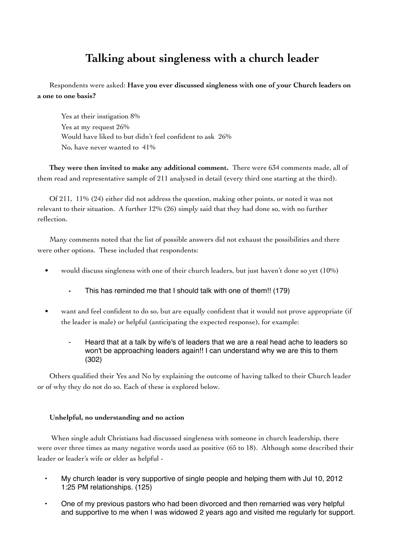## **Talking about singleness with a church leader**

Respondents were asked: **Have you ever discussed singleness with one of your Church leaders on a one to one basis?**

Yes at their instigation 8% Yes at my request 26% Would have liked to but didn't feel confident to ask 26% No, have never wanted to 41%

**They were then invited to make any additional comment.** There were 634 comments made, all of them read and representative sample of 211 analysed in detail (every third one starting at the third).

Of 211, 11% (24) either did not address the question, making other points, or noted it was not relevant to their situation. A further 12% (26) simply said that they had done so, with no further reflection.

Many comments noted that the list of possible answers did not exhaust the possibilities and there were other options. These included that respondents:

- would discuss singleness with one of their church leaders, but just haven't done so yet (10%)
	- This has reminded me that I should talk with one of them!! (179)
- want and feel confident to do so, but are equally confident that it would not prove appropriate (if the leader is male) or helpful (anticipating the expected response), for example:
	- Heard that at a talk by wife's of leaders that we are a real head ache to leaders so won't be approaching leaders again!! I can understand why we are this to them (302)

Others qualified their Yes and No by explaining the outcome of having talked to their Church leader or of why they do not do so. Each of these is explored below.

## **Unhelpful, no understanding and no action**

 When single adult Christians had discussed singleness with someone in church leadership, there were over three times as many negative words used as positive (65 to 18). Although some described their leader or leader's wife or elder as helpful -

- My church leader is very supportive of single people and helping them with Jul 10, 2012 1:25 PM relationships. (125)
- One of my previous pastors who had been divorced and then remarried was very helpful and supportive to me when I was widowed 2 years ago and visited me regularly for support.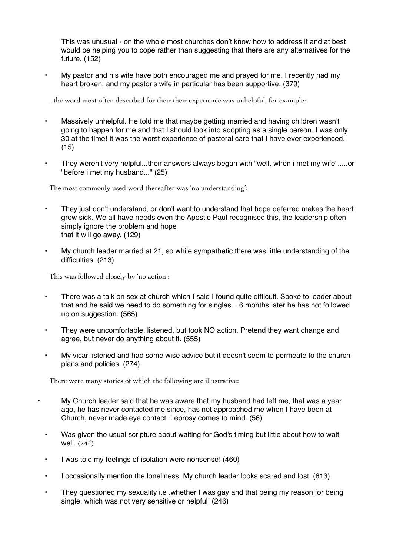This was unusual - on the whole most churches don't know how to address it and at best would be helping you to cope rather than suggesting that there are any alternatives for the future. (152)

- My pastor and his wife have both encouraged me and prayed for me. I recently had my heart broken, and my pastor's wife in particular has been supportive. (379)
- the word most often described for their their experience was unhelpful, for example:
- Massively unhelpful. He told me that maybe getting married and having children wasn't going to happen for me and that I should look into adopting as a single person. I was only 30 at the time! It was the worst experience of pastoral care that I have ever experienced. (15)
- They weren't very helpful...their answers always began with "well, when i met my wife".....or "before i met my husband..." (25)

The most commonly used word thereafter was 'no understanding':

- They just don't understand, or don't want to understand that hope deferred makes the heart grow sick. We all have needs even the Apostle Paul recognised this, the leadership often simply ignore the problem and hope that it will go away. (129)
- My church leader married at 21, so while sympathetic there was little understanding of the difficulties. (213)

This was followed closely by 'no action':

- There was a talk on sex at church which I said I found quite difficult. Spoke to leader about that and he said we need to do something for singles... 6 months later he has not followed up on suggestion. (565)
- They were uncomfortable, listened, but took NO action. Pretend they want change and agree, but never do anything about it. (555)
- My vicar listened and had some wise advice but it doesn't seem to permeate to the church plans and policies. (274)

There were many stories of which the following are illustrative:

- My Church leader said that he was aware that my husband had left me, that was a year ago, he has never contacted me since, has not approached me when I have been at Church, never made eye contact. Leprosy comes to mind. (56)
- Was given the usual scripture about waiting for God's timing but little about how to wait well. (244)
- I was told my feelings of isolation were nonsense! (460)
- I occasionally mention the loneliness. My church leader looks scared and lost. (613)
- They questioned my sexuality i.e .whether I was gay and that being my reason for being single, which was not very sensitive or helpful! (246)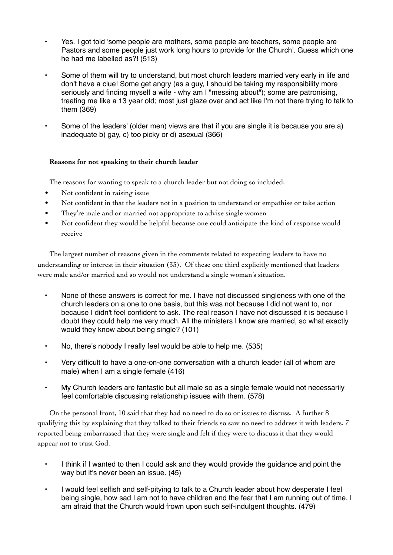- Yes. I got told 'some people are mothers, some people are teachers, some people are Pastors and some people just work long hours to provide for the Church'. Guess which one he had me labelled as?! (513)
- Some of them will try to understand, but most church leaders married very early in life and don't have a clue! Some get angry (as a guy, I should be taking my responsibility more seriously and finding myself a wife - why am I "messing about"); some are patronising, treating me like a 13 year old; most just glaze over and act like I'm not there trying to talk to them (369)
- Some of the leaders' (older men) views are that if you are single it is because you are a) inadequate b) gay, c) too picky or d) asexual (366)

## **Reasons for not speaking to their church leader**

The reasons for wanting to speak to a church leader but not doing so included:

- Not confident in raising issue
- Not confident in that the leaders not in a position to understand or empathise or take action
- They're male and or married not appropriate to advise single women
- Not confident they would be helpful because one could anticipate the kind of response would receive

The largest number of reasons given in the comments related to expecting leaders to have no understanding or interest in their situation (33). Of these one third explicitly mentioned that leaders were male and/or married and so would not understand a single woman's situation.

- None of these answers is correct for me. I have not discussed singleness with one of the church leaders on a one to one basis, but this was not because I did not want to, nor because I didn't feel confident to ask. The real reason I have not discussed it is because I doubt they could help me very much. All the ministers I know are married, so what exactly would they know about being single? (101)
- No, there's nobody I really feel would be able to help me. (535)
- Very difficult to have a one-on-one conversation with a church leader (all of whom are male) when I am a single female (416)
- My Church leaders are fantastic but all male so as a single female would not necessarily feel comfortable discussing relationship issues with them. (578)

On the personal front, 10 said that they had no need to do so or issues to discuss. A further 8 qualifying this by explaining that they talked to their friends so saw no need to address it with leaders. 7 reported being embarrassed that they were single and felt if they were to discuss it that they would appear not to trust God.

- I think if I wanted to then I could ask and they would provide the guidance and point the way but it's never been an issue. (45)
- I would feel selfish and self-pitying to talk to a Church leader about how desperate I feel being single, how sad I am not to have children and the fear that I am running out of time. I am afraid that the Church would frown upon such self-indulgent thoughts. (479)